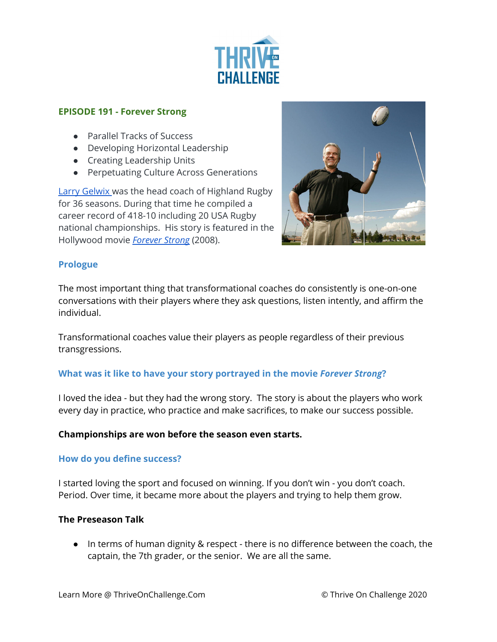

#### **EPISODE 191 - Forever Strong**

- Parallel Tracks of Success
- Developing Horizontal Leadership
- Creating Leadership Units
- Perpetuating Culture Across Generations

Larry [Gelwix](https://www.larrygelwix.com/bio/) was the head coach of Highland Rugby for 36 seasons. During that time he compiled a career record of 418-10 including 20 USA Rugby national championships. His story is featured in the Hollywood movie *[Forever](https://www.amazon.com/Forever-Strong-Gary-Cole/dp/B01498HGWI/ref=sr_1_1?dchild=1&keywords=forever+strong&qid=1620315986&sr=8-1) Strong* (2008).



## **Prologue**

The most important thing that transformational coaches do consistently is one-on-one conversations with their players where they ask questions, listen intently, and affirm the individual.

Transformational coaches value their players as people regardless of their previous transgressions.

#### **What was it like to have your story portrayed in the movie** *Forever Strong***?**

I loved the idea - but they had the wrong story. The story is about the players who work every day in practice, who practice and make sacrifices, to make our success possible.

#### **Championships are won before the season even starts.**

#### **How do you define success?**

I started loving the sport and focused on winning. If you don't win - you don't coach. Period. Over time, it became more about the players and trying to help them grow.

#### **The Preseason Talk**

● In terms of human dignity & respect - there is no difference between the coach, the captain, the 7th grader, or the senior. We are all the same.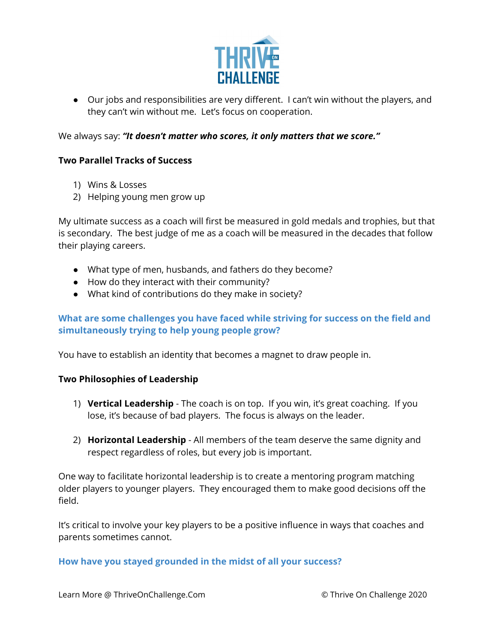

● Our jobs and responsibilities are very different. I can't win without the players, and they can't win without me. Let's focus on cooperation.

We always say: *"It doesn't matter who scores, it only matters that we score."*

## **Two Parallel Tracks of Success**

- 1) Wins & Losses
- 2) Helping young men grow up

My ultimate success as a coach will first be measured in gold medals and trophies, but that is secondary. The best judge of me as a coach will be measured in the decades that follow their playing careers.

- What type of men, husbands, and fathers do they become?
- How do they interact with their community?
- What kind of contributions do they make in society?

# **What are some challenges you have faced while striving for success on the field and simultaneously trying to help young people grow?**

You have to establish an identity that becomes a magnet to draw people in.

#### **Two Philosophies of Leadership**

- 1) **Vertical Leadership** The coach is on top. If you win, it's great coaching. If you lose, it's because of bad players. The focus is always on the leader.
- 2) **Horizontal Leadership** All members of the team deserve the same dignity and respect regardless of roles, but every job is important.

One way to facilitate horizontal leadership is to create a mentoring program matching older players to younger players. They encouraged them to make good decisions off the field.

It's critical to involve your key players to be a positive influence in ways that coaches and parents sometimes cannot.

#### **How have you stayed grounded in the midst of all your success?**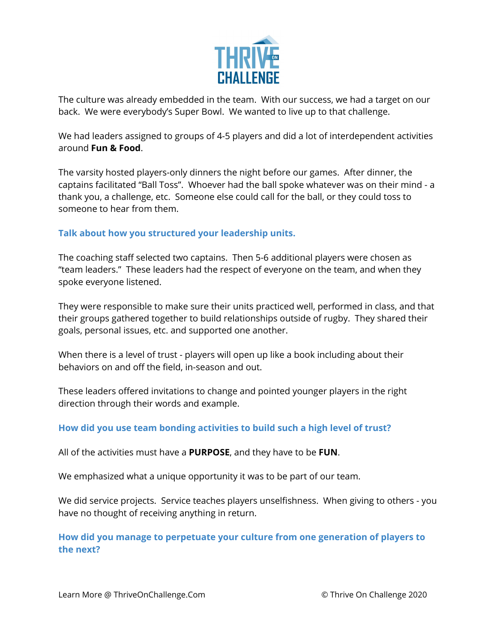

The culture was already embedded in the team. With our success, we had a target on our back. We were everybody's Super Bowl. We wanted to live up to that challenge.

We had leaders assigned to groups of 4-5 players and did a lot of interdependent activities around **Fun & Food**.

The varsity hosted players-only dinners the night before our games. After dinner, the captains facilitated "Ball Toss". Whoever had the ball spoke whatever was on their mind - a thank you, a challenge, etc. Someone else could call for the ball, or they could toss to someone to hear from them.

## **Talk about how you structured your leadership units.**

The coaching staff selected two captains. Then 5-6 additional players were chosen as "team leaders." These leaders had the respect of everyone on the team, and when they spoke everyone listened.

They were responsible to make sure their units practiced well, performed in class, and that their groups gathered together to build relationships outside of rugby. They shared their goals, personal issues, etc. and supported one another.

When there is a level of trust - players will open up like a book including about their behaviors on and off the field, in-season and out.

These leaders offered invitations to change and pointed younger players in the right direction through their words and example.

#### **How did you use team bonding activities to build such a high level of trust?**

All of the activities must have a **PURPOSE**, and they have to be **FUN**.

We emphasized what a unique opportunity it was to be part of our team.

We did service projects. Service teaches players unselfishness. When giving to others - you have no thought of receiving anything in return.

**How did you manage to perpetuate your culture from one generation of players to the next?**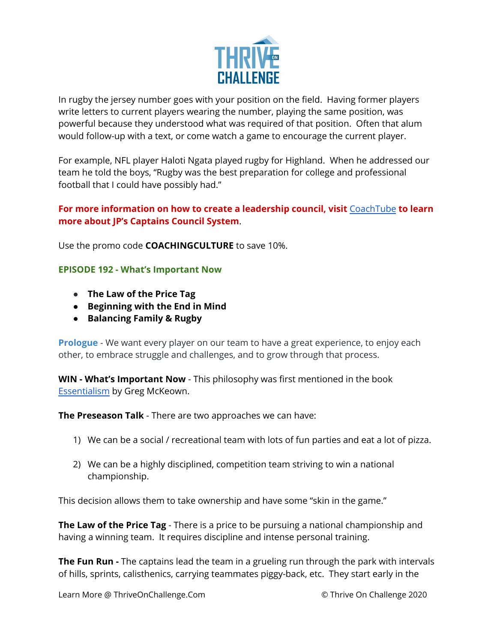

In rugby the jersey number goes with your position on the field. Having former players write letters to current players wearing the number, playing the same position, was powerful because they understood what was required of that position. Often that alum would follow-up with a text, or come watch a game to encourage the current player.

For example, NFL player Haloti Ngata played rugby for Highland. When he addressed our team he told the boys, "Rugby was the best preparation for college and professional football that I could have possibly had."

## **For more information on how to create a leadership council, visit** [CoachTube](https://coachtube.com/course/coach-development/captains-council-system/12447351) **to learn more about JP's Captains Council System**.

Use the promo code **COACHINGCULTURE** to save 10%.

## **EPISODE 192 - What's Important Now**

- **● The Law of the Price Tag**
- **● Beginning with the End in Mind**
- **● Balancing Family & Rugby**

**Prologue** - We want every player on our team to have a great experience, to enjoy each other, to embrace struggle and challenges, and to grow through that process.

**WIN - What's Important Now** - This philosophy was first mentioned in the book [Essentialism](https://www.amazon.com/Essentialism-Disciplined-Pursuit-Greg-McKeown/dp/0804137404/ref=sr_1_1?dchild=1&keywords=essentialism&qid=1621009199&sr=8-1) by Greg McKeown.

**The Preseason Talk** - There are two approaches we can have:

- 1) We can be a social / recreational team with lots of fun parties and eat a lot of pizza.
- 2) We can be a highly disciplined, competition team striving to win a national championship.

This decision allows them to take ownership and have some "skin in the game."

**The Law of the Price Tag** - There is a price to be pursuing a national championship and having a winning team. It requires discipline and intense personal training.

**The Fun Run -** The captains lead the team in a grueling run through the park with intervals of hills, sprints, calisthenics, carrying teammates piggy-back, etc. They start early in the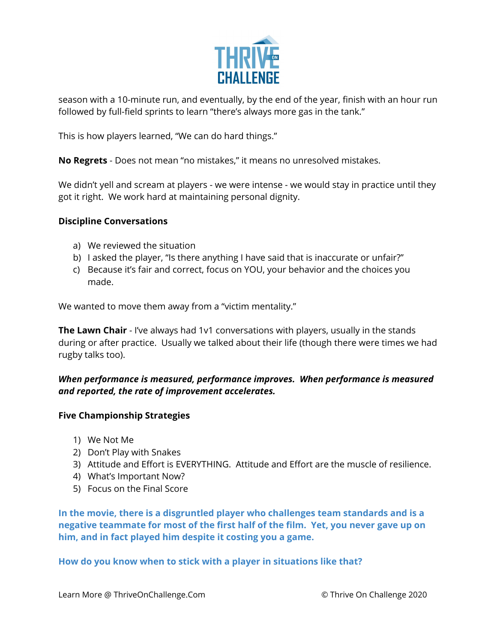

season with a 10-minute run, and eventually, by the end of the year, finish with an hour run followed by full-field sprints to learn "there's always more gas in the tank."

This is how players learned, "We can do hard things."

**No Regrets** - Does not mean "no mistakes," it means no unresolved mistakes.

We didn't yell and scream at players - we were intense - we would stay in practice until they got it right. We work hard at maintaining personal dignity.

## **Discipline Conversations**

- a) We reviewed the situation
- b) I asked the player, "Is there anything I have said that is inaccurate or unfair?"
- c) Because it's fair and correct, focus on YOU, your behavior and the choices you made.

We wanted to move them away from a "victim mentality."

**The Lawn Chair** - I've always had 1v1 conversations with players, usually in the stands during or after practice. Usually we talked about their life (though there were times we had rugby talks too).

# *When performance is measured, performance improves. When performance is measured and reported, the rate of improvement accelerates.*

#### **Five Championship Strategies**

- 1) We Not Me
- 2) Don't Play with Snakes
- 3) Attitude and Effort is EVERYTHING. Attitude and Effort are the muscle of resilience.
- 4) What's Important Now?
- 5) Focus on the Final Score

**In the movie, there is a disgruntled player who challenges team standards and is a negative teammate for most of the first half of the film. Yet, you never gave up on him, and in fact played him despite it costing you a game.**

**How do you know when to stick with a player in situations like that?**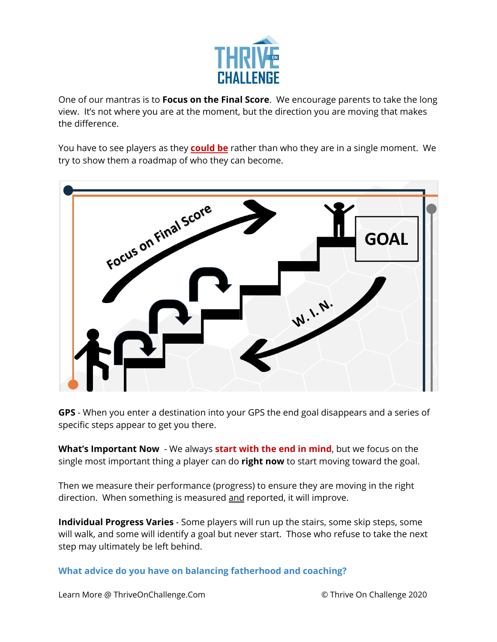

One of our mantras is to **Focus on the Final Score**. We encourage parents to take the long view. It's not where you are at the moment, but the direction you are moving that makes the difference.

You have to see players as they **could be** rather than who they are in a single moment. We try to show them a roadmap of who they can become.



**GPS** - When you enter a destination into your GPS the end goal disappears and a series of specific steps appear to get you there.

**What's Important Now** - We always **start with the end in mind**, but we focus on the single most important thing a player can do **right now** to start moving toward the goal.

Then we measure their performance (progress) to ensure they are moving in the right direction. When something is measured and reported, it will improve.

**Individual Progress Varies** - Some players will run up the stairs, some skip steps, some will walk, and some will identify a goal but never start. Those who refuse to take the next step may ultimately be left behind.

**What advice do you have on balancing fatherhood and coaching?**

Learn More @ ThriveOnChallenge.Com © Thrive On Challenge 2020